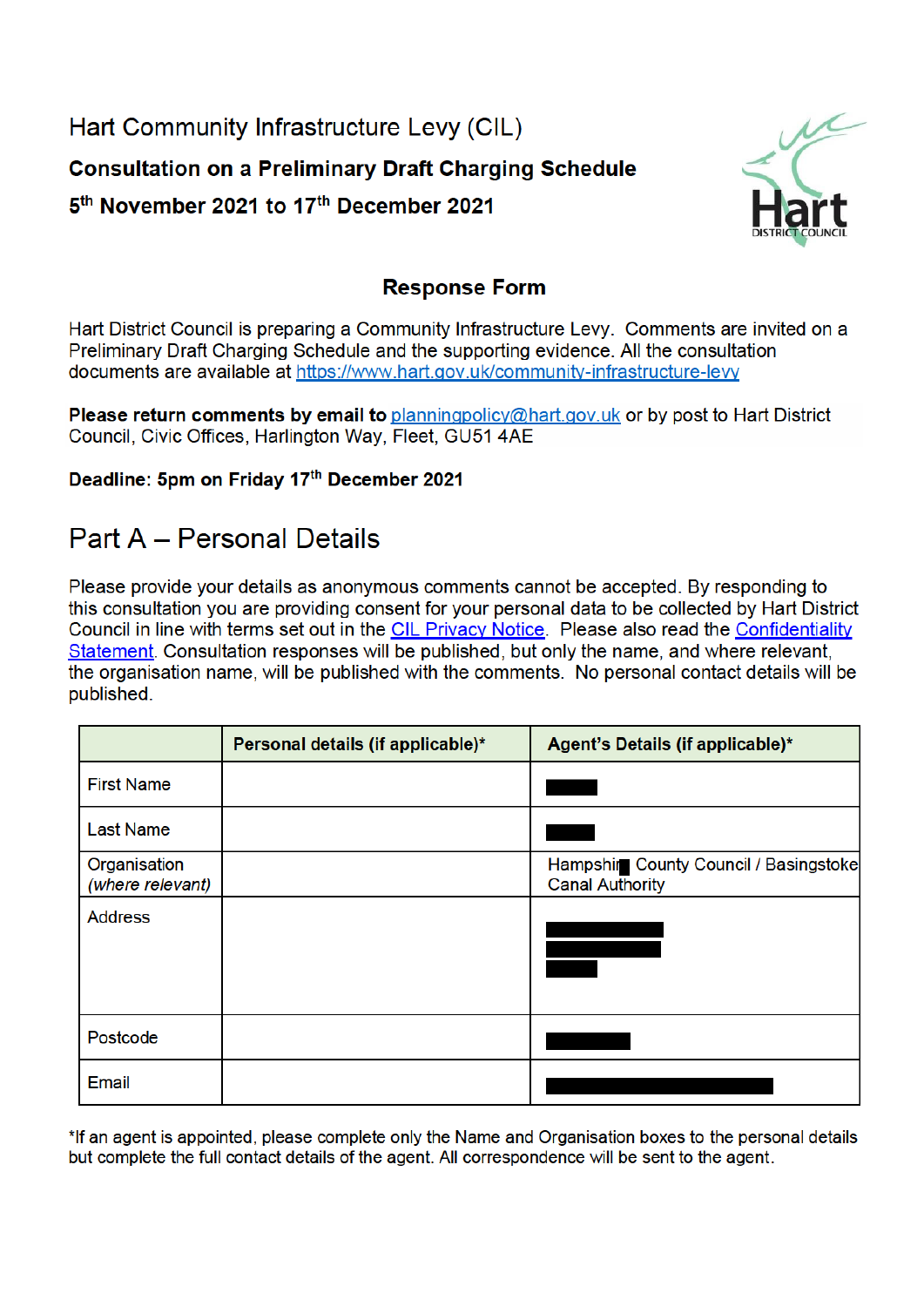Hart Community Infrastructure Levy (CIL) **Consultation on a Preliminary Draft Charging Schedule** 5<sup>th</sup> November 2021 to 17<sup>th</sup> December 2021



### **Response Form**

Hart District Council is preparing a Community Infrastructure Levy. Comments are invited on a Preliminary Draft Charging Schedule and the supporting evidence. All the consultation documents are available at https://www.hart.gov.uk/community-infrastructure-levy

Please return comments by email to planningpolicy@hart.gov.uk or by post to Hart District Council, Civic Offices, Harlington Way, Fleet, GU51 4AE

#### Deadline: 5pm on Friday 17th December 2021

## **Part A - Personal Details**

Please provide your details as anonymous comments cannot be accepted. By responding to this consultation you are providing consent for your personal data to be collected by Hart District Council in line with terms set out in the CIL Privacy Notice. Please also read the Confidentiality Statement. Consultation responses will be published, but only the name, and where relevant, the organisation name, will be published with the comments. No personal contact details will be published.

|                                  | Personal details (if applicable)* | Agent's Details (if applicable)*                                |
|----------------------------------|-----------------------------------|-----------------------------------------------------------------|
| <b>First Name</b>                |                                   |                                                                 |
| <b>Last Name</b>                 |                                   |                                                                 |
| Organisation<br>(where relevant) |                                   | Hampshir County Council / Basingstoke<br><b>Canal Authority</b> |
| <b>Address</b>                   |                                   |                                                                 |
| Postcode                         |                                   |                                                                 |
| <b>Email</b>                     |                                   |                                                                 |

\*If an agent is appointed, please complete only the Name and Organisation boxes to the personal details but complete the full contact details of the agent. All correspondence will be sent to the agent.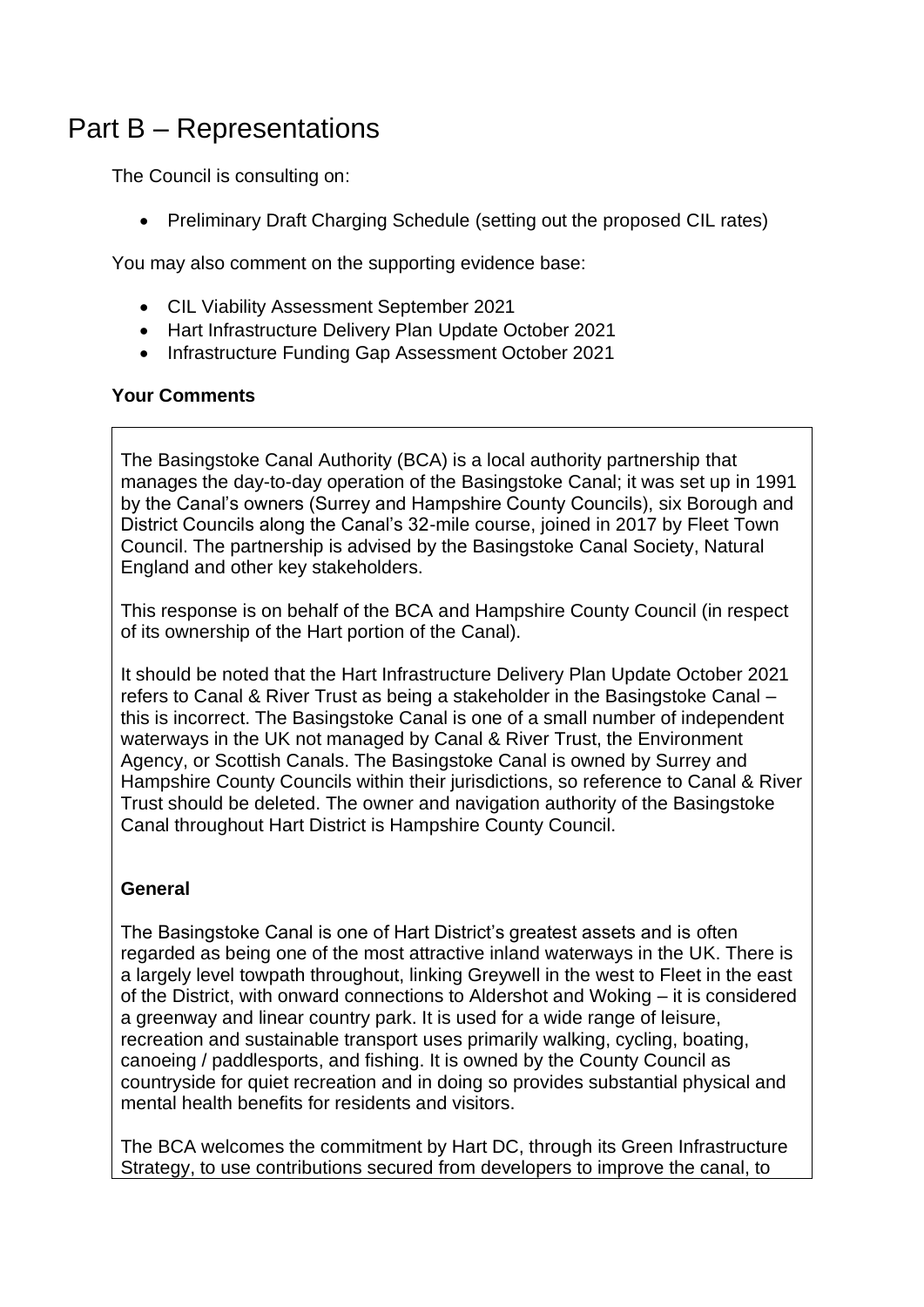# Part B – Representations

The Council is consulting on:

• Preliminary Draft Charging Schedule (setting out the proposed CIL rates)

You may also comment on the supporting evidence base:

- CIL Viability Assessment September 2021
- Hart Infrastructure Delivery Plan Update October 2021
- Infrastructure Funding Gap Assessment October 2021

#### **Your Comments**

The Basingstoke Canal Authority (BCA) is a local authority partnership that manages the day-to-day operation of the Basingstoke Canal; it was set up in 1991 by the Canal's owners (Surrey and Hampshire County Councils), six Borough and District Councils along the Canal's 32-mile course, joined in 2017 by Fleet Town Council. The partnership is advised by the Basingstoke Canal Society, Natural England and other key stakeholders.

This response is on behalf of the BCA and Hampshire County Council (in respect of its ownership of the Hart portion of the Canal).

It should be noted that the Hart Infrastructure Delivery Plan Update October 2021 refers to Canal & River Trust as being a stakeholder in the Basingstoke Canal – this is incorrect. The Basingstoke Canal is one of a small number of independent waterways in the UK not managed by Canal & River Trust, the Environment Agency, or Scottish Canals. The Basingstoke Canal is owned by Surrey and Hampshire County Councils within their jurisdictions, so reference to Canal & River Trust should be deleted. The owner and navigation authority of the Basingstoke Canal throughout Hart District is Hampshire County Council.

#### **General**

The Basingstoke Canal is one of Hart District's greatest assets and is often regarded as being one of the most attractive inland waterways in the UK. There is a largely level towpath throughout, linking Greywell in the west to Fleet in the east of the District, with onward connections to Aldershot and Woking – it is considered a greenway and linear country park. It is used for a wide range of leisure, recreation and sustainable transport uses primarily walking, cycling, boating, canoeing / paddlesports, and fishing. It is owned by the County Council as countryside for quiet recreation and in doing so provides substantial physical and mental health benefits for residents and visitors.

The BCA welcomes the commitment by Hart DC, through its Green Infrastructure Strategy, to use contributions secured from developers to improve the canal, to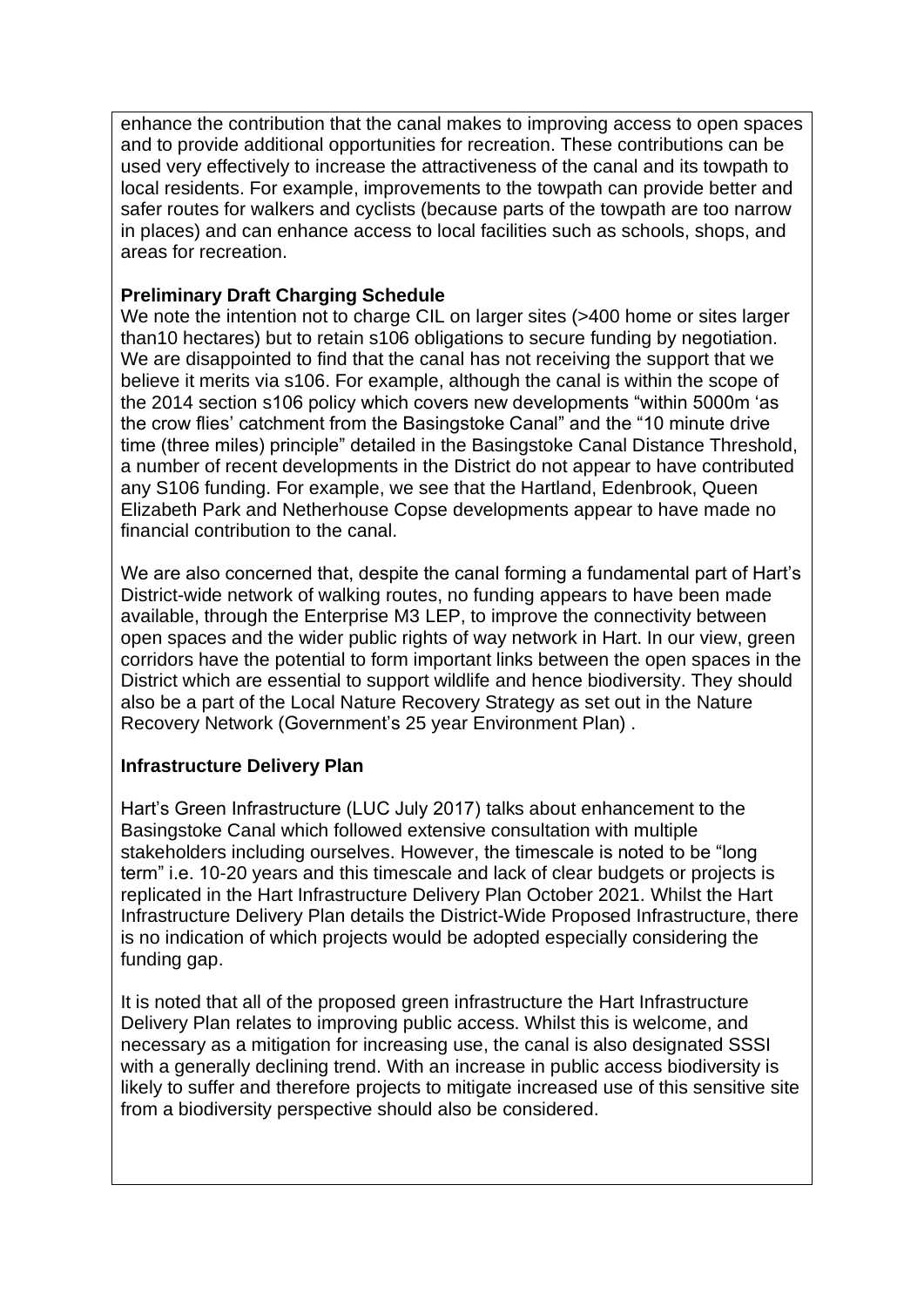enhance the contribution that the canal makes to improving access to open spaces and to provide additional opportunities for recreation. These contributions can be used very effectively to increase the attractiveness of the canal and its towpath to local residents. For example, improvements to the towpath can provide better and safer routes for walkers and cyclists (because parts of the towpath are too narrow in places) and can enhance access to local facilities such as schools, shops, and areas for recreation.

#### **Preliminary Draft Charging Schedule**

We note the intention not to charge CIL on larger sites (>400 home or sites larger than10 hectares) but to retain s106 obligations to secure funding by negotiation. We are disappointed to find that the canal has not receiving the support that we believe it merits via s106. For example, although the canal is within the scope of the 2014 section s106 policy which covers new developments "within 5000m 'as the crow flies' catchment from the Basingstoke Canal" and the "10 minute drive time (three miles) principle" detailed in the Basingstoke Canal Distance Threshold, a number of recent developments in the District do not appear to have contributed any S106 funding. For example, we see that the Hartland, Edenbrook, Queen Elizabeth Park and Netherhouse Copse developments appear to have made no financial contribution to the canal.

We are also concerned that, despite the canal forming a fundamental part of Hart's District-wide network of walking routes, no funding appears to have been made available, through the Enterprise M3 LEP, to improve the connectivity between open spaces and the wider public rights of way network in Hart. In our view, green corridors have the potential to form important links between the open spaces in the District which are essential to support wildlife and hence biodiversity. They should also be a part of the Local Nature Recovery Strategy as set out in the Nature Recovery Network (Government's 25 year Environment Plan) .

#### **Infrastructure Delivery Plan**

Hart's Green Infrastructure (LUC July 2017) talks about enhancement to the Basingstoke Canal which followed extensive consultation with multiple stakeholders including ourselves. However, the timescale is noted to be "long term" i.e. 10-20 years and this timescale and lack of clear budgets or projects is replicated in the Hart Infrastructure Delivery Plan October 2021. Whilst the Hart Infrastructure Delivery Plan details the District-Wide Proposed Infrastructure, there is no indication of which projects would be adopted especially considering the funding gap.

It is noted that all of the proposed green infrastructure the Hart Infrastructure Delivery Plan relates to improving public access. Whilst this is welcome, and necessary as a mitigation for increasing use, the canal is also designated SSSI with a generally declining trend. With an increase in public access biodiversity is likely to suffer and therefore projects to mitigate increased use of this sensitive site from a biodiversity perspective should also be considered.